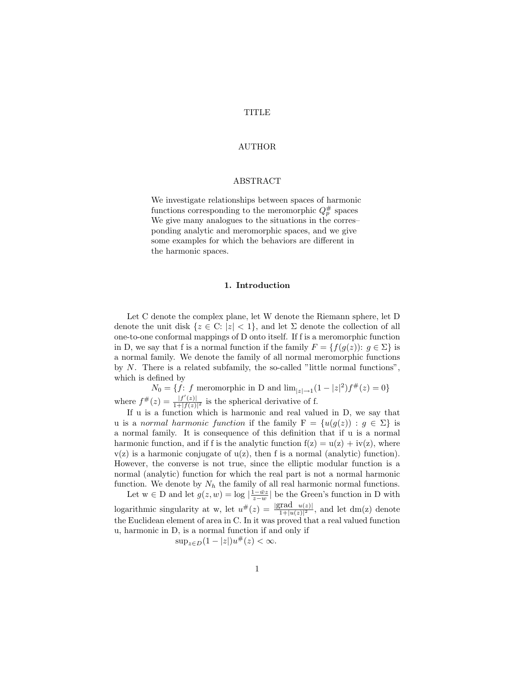## TITLE

## AUTHOR

## ABSTRACT

We investigate relationships between spaces of harmonic functions corresponding to the meromorphic  $Q_p^{\#}$  spaces We give many analogues to the situations in the corres– ponding analytic and meromorphic spaces, and we give some examples for which the behaviors are different in the harmonic spaces.

## 1. Introduction

Let C denote the complex plane, let W denote the Riemann sphere, let D denote the unit disk  $\{z \in \mathbb{C}: |z| < 1\}$ , and let  $\Sigma$  denote the collection of all one-to-one conformal mappings of D onto itself. If f is a meromorphic function in D, we say that f is a normal function if the family  $F = \{f(g(z)) : g \in \Sigma\}$  is a normal family. We denote the family of all normal meromorphic functions by  $N$ . There is a related subfamily, the so-called "little normal functions", which is defined by

 $N_0 = \{f: f \text{ meromorphic in } D \text{ and } \lim_{|z| \to 1} (1 - |z|^2) f^{#}(z) = 0\}$ where  $f^{\#}(z) = \frac{|f'(z)|}{1 + |f(z)|}$  $\frac{|J(z)|}{1+|f(z)|^2}$  is the spherical derivative of f.

If u is a function which is harmonic and real valued in D, we say that u is a normal harmonic function if the family  $F = \{u(g(z)) : g \in \Sigma\}$  is a normal family. It is consequence of this definition that if u is a normal harmonic function, and if f is the analytic function  $f(z) = u(z) + iv(z)$ , where  $v(z)$  is a harmonic conjugate of  $u(z)$ , then f is a normal (analytic) function). However, the converse is not true, since the elliptic modular function is a normal (analytic) function for which the real part is not a normal harmonic function. We denote by  $N_h$  the family of all real harmonic normal functions.

Let  $w \in D$  and let  $g(z, w) = \log |\frac{\mathbf{i} - \bar{w}z}{z - w}|$  be the Green's function in D with logarithmic singularity at w, let  $u^{\#}(z) = \frac{|grad u(z)|}{1+|u(z)|^2}$ , and let dm(z) denote the Euclidean element of area in C. In it was proved that a real valued function u, harmonic in D, is a normal function if and only if

$$
\sup_{z \in D} (1 - |z|) u^{\#}(z) < \infty.
$$